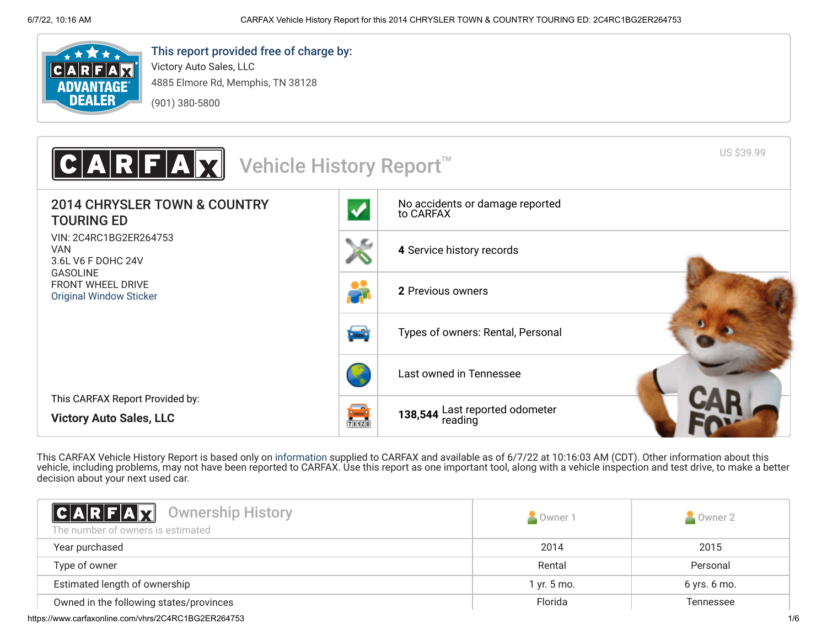

# This report provided free of charge by:

Victory Auto Sales, LLC 4885 Elmore Rd, Memphis, TN 38128 (901) 380-5800



This CARFAX Vehicle History Report is based only on [information](http://www.carfax.com/company/vhr-data-sources) supplied to CARFAX and available as of 6/7/22 at 10:16:03 AM (CDT). Other information about this vehicle, including problems, may not have been reported to CARFAX. Use this report as one important tool, along with a vehicle inspection and test drive, to make a better decision about your next used car.

<span id="page-0-0"></span>

| <b>CARFAX</b> Ownership History<br>The number of owners is estimated | Owner 1     | Owner 2          |
|----------------------------------------------------------------------|-------------|------------------|
| Year purchased                                                       | 2014        | 2015             |
| Type of owner                                                        | Rental      | Personal         |
| Estimated length of ownership                                        | 1 yr. 5 mo. | $6$ yrs. $6$ mo. |
| Owned in the following states/provinces                              | Florida     | <b>Tennessee</b> |
| https://www.carfaxonline.com/vhrs/2C4RC1BG2ER264753                  |             | 1/6              |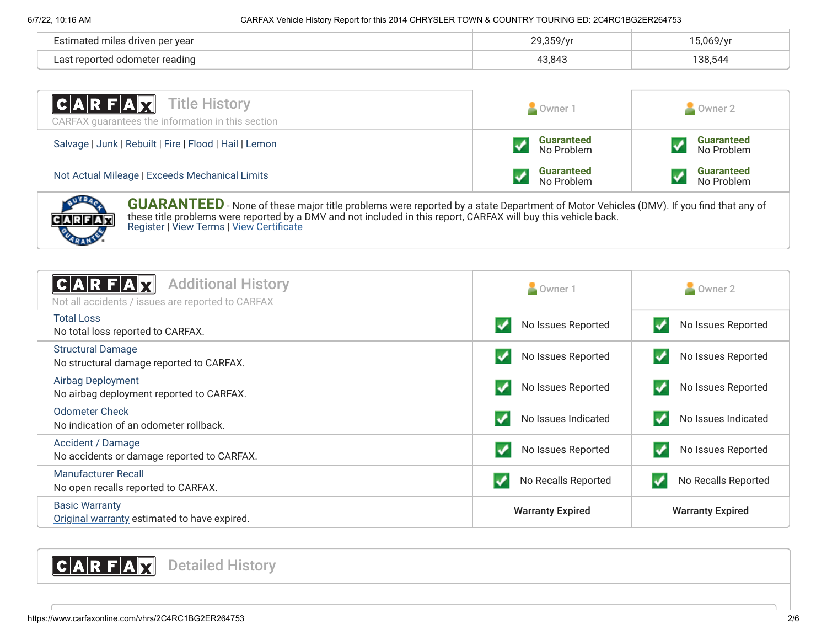**ARFAR** 

| per year<br>miles<br>driver<br>/nmataد | 29.350/ | 0.001 <sub>0</sub> |
|----------------------------------------|---------|--------------------|
| r reading<br>` odomatar                | 43.843  | 38,544             |

| <b>CARFAX</b> Title History<br>CARFAX quarantees the information in this section                                                            | Owner 1                         | Owner 2                         |  |
|---------------------------------------------------------------------------------------------------------------------------------------------|---------------------------------|---------------------------------|--|
| Salvage   Junk   Rebuilt   Fire   Flood   Hail   Lemon                                                                                      | <b>Guaranteed</b><br>No Problem | <b>Guaranteed</b><br>No Problem |  |
| Not Actual Mileage   Exceeds Mechanical Limits                                                                                              | <b>Guaranteed</b><br>No Problem | <b>Guaranteed</b><br>No Problem |  |
| <b>GUARANTEED</b> - None of these major title problems were reported by a state Department of Motor Vehicles (DMV). If you find that any of |                                 |                                 |  |

these title problems were reported by a DMV and not included in this report, CARFAX will buy this vehicle back. [Register](https://www.carfax.com/Service/bbg) | [View Terms](http://www.carfaxonline.com/legal/bbgTerms) | [View Certificate](https://www.carfaxonline.com/vhrs/2C4RC1BG2ER264753)

<span id="page-1-0"></span>

| <b>Additional History</b><br>Not all accidents / issues are reported to CARFAX | Owner 1                 | Owner 2                 |
|--------------------------------------------------------------------------------|-------------------------|-------------------------|
| <b>Total Loss</b><br>No total loss reported to CARFAX.                         | No Issues Reported      | No Issues Reported      |
| <b>Structural Damage</b><br>No structural damage reported to CARFAX.           | No Issues Reported      | No Issues Reported      |
| Airbag Deployment<br>No airbag deployment reported to CARFAX.                  | No Issues Reported      | No Issues Reported      |
| <b>Odometer Check</b><br>No indication of an odometer rollback.                | No Issues Indicated     | No Issues Indicated     |
| Accident / Damage<br>No accidents or damage reported to CARFAX.                | No Issues Reported      | No Issues Reported      |
| Manufacturer Recall<br>No open recalls reported to CARFAX.                     | No Recalls Reported     | No Recalls Reported     |
| <b>Basic Warranty</b><br>Original warranty estimated to have expired.          | <b>Warranty Expired</b> | <b>Warranty Expired</b> |

# <span id="page-1-1"></span>CARFAX Detailed History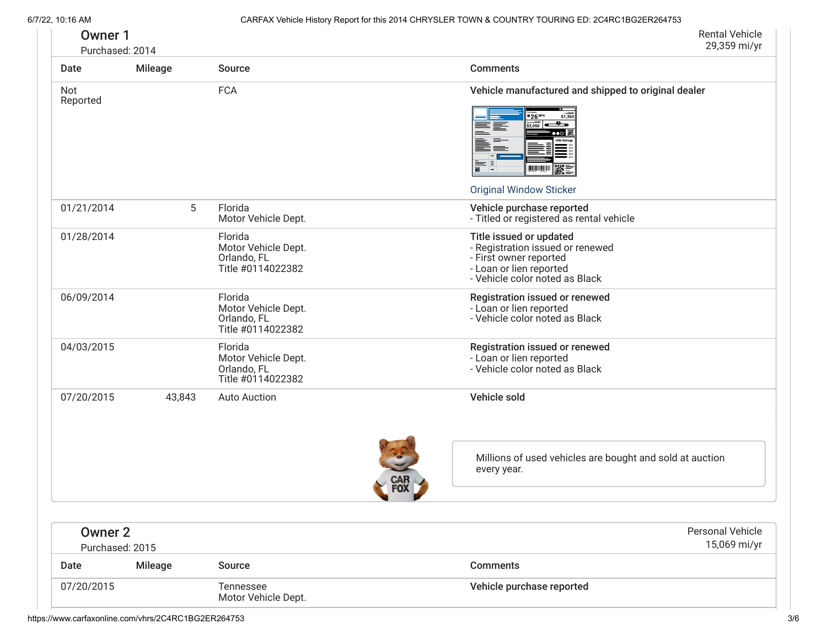| <b>Owner 1</b><br>Purchased: 2014 |         |                                                                    | <b>Rental Vehicle</b><br>29,359 mi/yr                                                                                                                                                                                                                        |
|-----------------------------------|---------|--------------------------------------------------------------------|--------------------------------------------------------------------------------------------------------------------------------------------------------------------------------------------------------------------------------------------------------------|
| Date                              | Mileage | Source                                                             | <b>Comments</b>                                                                                                                                                                                                                                              |
| Not<br>Reported                   |         | <b>FCA</b>                                                         | Vehicle manufactured and shipped to original dealer<br>\$1,350<br>26 <sup>MPG</sup><br>$\frac{1}{22.050}$ and $\frac{1}{20}$ in $\frac{1}{20}$<br>≣≣<br>$\bullet \bullet \circ$ is<br>ÈÈ<br>$\frac{1}{1}$<br><b>WWW XX</b><br><b>Original Window Sticker</b> |
| 01/21/2014                        | 5       | Florida<br>Motor Vehicle Dept.                                     | Vehicle purchase reported<br>- Titled or registered as rental vehicle                                                                                                                                                                                        |
| 01/28/2014                        |         | Florida<br>Motor Vehicle Dept.<br>Orlando, FL<br>Title #0114022382 | Title issued or updated<br>- Registration issued or renewed<br>- First owner reported<br>- Loan or lien reported<br>- Vehicle color noted as Black                                                                                                           |
| 06/09/2014                        |         | Florida<br>Motor Vehicle Dept.<br>Orlando, FL<br>Title #0114022382 | Registration issued or renewed<br>- Loan or lien reported<br>- Vehicle color noted as Black                                                                                                                                                                  |
| 04/03/2015                        |         | Florida<br>Motor Vehicle Dept.<br>Orlando, FL<br>Title #0114022382 | Registration issued or renewed<br>- Loan or lien reported<br>- Vehicle color noted as Black                                                                                                                                                                  |
| 07/20/2015                        | 43,843  | <b>Auto Auction</b>                                                | Vehicle sold                                                                                                                                                                                                                                                 |
|                                   |         |                                                                    | Millions of used vehicles are bought and sold at auction<br>every year.<br><b>CAR</b><br>FOX<br>$\sim$                                                                                                                                                       |
| <b>Owner 2</b><br>Purchased: 2015 |         |                                                                    | Personal Vehicle<br>15,069 mi/yr                                                                                                                                                                                                                             |
| Date                              | Mileage | Source                                                             | <b>Comments</b>                                                                                                                                                                                                                                              |
| 07/20/2015                        |         | Tennessee<br>Motor Vehicle Dept.                                   | Vehicle purchase reported                                                                                                                                                                                                                                    |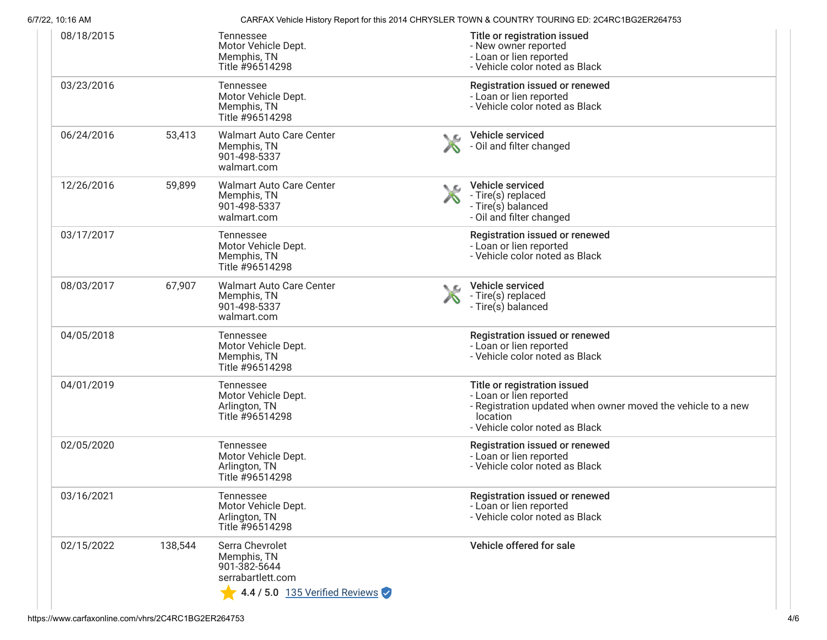| 6/7/22, 10:16 AM |         |                                                                                                       |    | CARFAX Vehicle History Report for this 2014 CHRYSLER TOWN & COUNTRY TOURING ED: 2C4RC1BG2ER264753                                                                     |
|------------------|---------|-------------------------------------------------------------------------------------------------------|----|-----------------------------------------------------------------------------------------------------------------------------------------------------------------------|
| 08/18/2015       |         | Tennessee<br>Motor Vehicle Dept.<br>Memphis, TN<br>Title #96514298                                    |    | Title or registration issued<br>- New owner reported<br>- Loan or lien reported<br>- Vehicle color noted as Black                                                     |
| 03/23/2016       |         | Tennessee<br>Motor Vehicle Dept.<br>Memphis, TN<br>Title #96514298                                    |    | Registration issued or renewed<br>- Loan or lien reported<br>- Vehicle color noted as Black                                                                           |
| 06/24/2016       | 53,413  | <b>Walmart Auto Care Center</b><br>Memphis, TN<br>901-498-5337<br>walmart.com                         |    | Vehicle serviced<br>- Oil and filter changed                                                                                                                          |
| 12/26/2016       | 59,899  | <b>Walmart Auto Care Center</b><br>Memphis, TN<br>901-498-5337<br>walmart.com                         | ◟௳ | Vehicle serviced<br>- Tire(s) replaced<br>- Tire(s) balanced<br>- Oil and filter changed                                                                              |
| 03/17/2017       |         | Tennessee<br>Motor Vehicle Dept.<br>Memphis, TN<br>Title #96514298                                    |    | Registration issued or renewed<br>- Loan or lien reported<br>- Vehicle color noted as Black                                                                           |
| 08/03/2017       | 67,907  | <b>Walmart Auto Care Center</b><br>Memphis, TN<br>901-498-5337<br>walmart.com                         |    | Vehicle serviced<br>- Tire(s) replaced<br>- Tire(s) balanced                                                                                                          |
| 04/05/2018       |         | Tennessee<br>Motor Vehicle Dept.<br>Memphis, TN<br>Title #96514298                                    |    | Registration issued or renewed<br>- Loan or lien reported<br>- Vehicle color noted as Black                                                                           |
| 04/01/2019       |         | Tennessee<br>Motor Vehicle Dept.<br>Arlington, TN<br>Title #96514298                                  |    | Title or registration issued<br>- Loan or lien reported<br>- Registration updated when owner moved the vehicle to a new<br>location<br>- Vehicle color noted as Black |
| 02/05/2020       |         | Tennessee<br>Motor Vehicle Dept.<br>Arlington, TN<br>Title #96514298                                  |    | Registration issued or renewed<br>- Loan or lien reported<br>- Vehicle color noted as Black                                                                           |
| 03/16/2021       |         | Tennessee<br>Motor Vehicle Dept.<br>Arlington, TN<br>Title #96514298                                  |    | Registration issued or renewed<br>- Loan or lien reported<br>- Vehicle color noted as Black                                                                           |
| 02/15/2022       | 138,544 | Serra Chevrolet<br>Memphis, TN<br>901-382-5644<br>serrabartlett.com<br>4.4 / 5.0 135 Verified Reviews |    | Vehicle offered for sale                                                                                                                                              |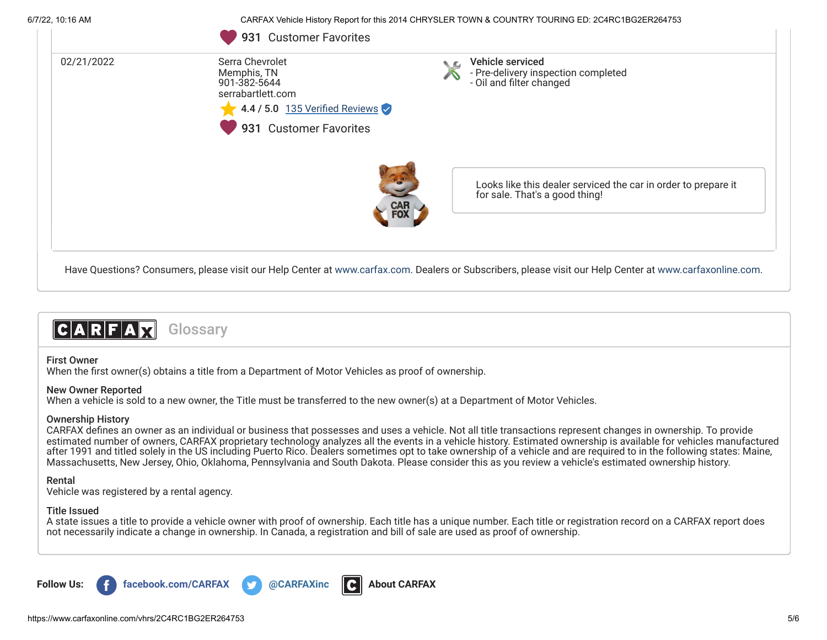6/7/22, 10:16 AM CARFAX Vehicle History Report for this 2014 CHRYSLER TOWN & COUNTRY TOURING ED: 2C4RC1BG2ER264753



# CARFAM **Glossary**

#### First Owner

When the first owner(s) obtains a title from a Department of Motor Vehicles as proof of ownership.

#### New Owner Reported

When a vehicle is sold to a new owner, the Title must be transferred to the new owner(s) at a Department of Motor Vehicles.

## Ownership History

CARFAX defines an owner as an individual or business that possesses and uses a vehicle. Not all title transactions represent changes in ownership. To provide estimated number of owners, CARFAX proprietary technology analyzes all the events in a vehicle history. Estimated ownership is available for vehicles manufactured after 1991 and titled solely in the US including Puerto Rico. Dealers sometimes opt to take ownership of a vehicle and are required to in the following states: Maine, Massachusetts, New Jersey, Ohio, Oklahoma, Pennsylvania and South Dakota. Please consider this as you review a vehicle's estimated ownership history.

## Rental

Vehicle was registered by a rental agency.

## Title Issued

A state issues a title to provide a vehicle owner with proof of ownership. Each title has a unique number. Each title or registration record on a CARFAX report does not necessarily indicate a change in ownership. In Canada, a registration and bill of sale are used as proof of ownership.